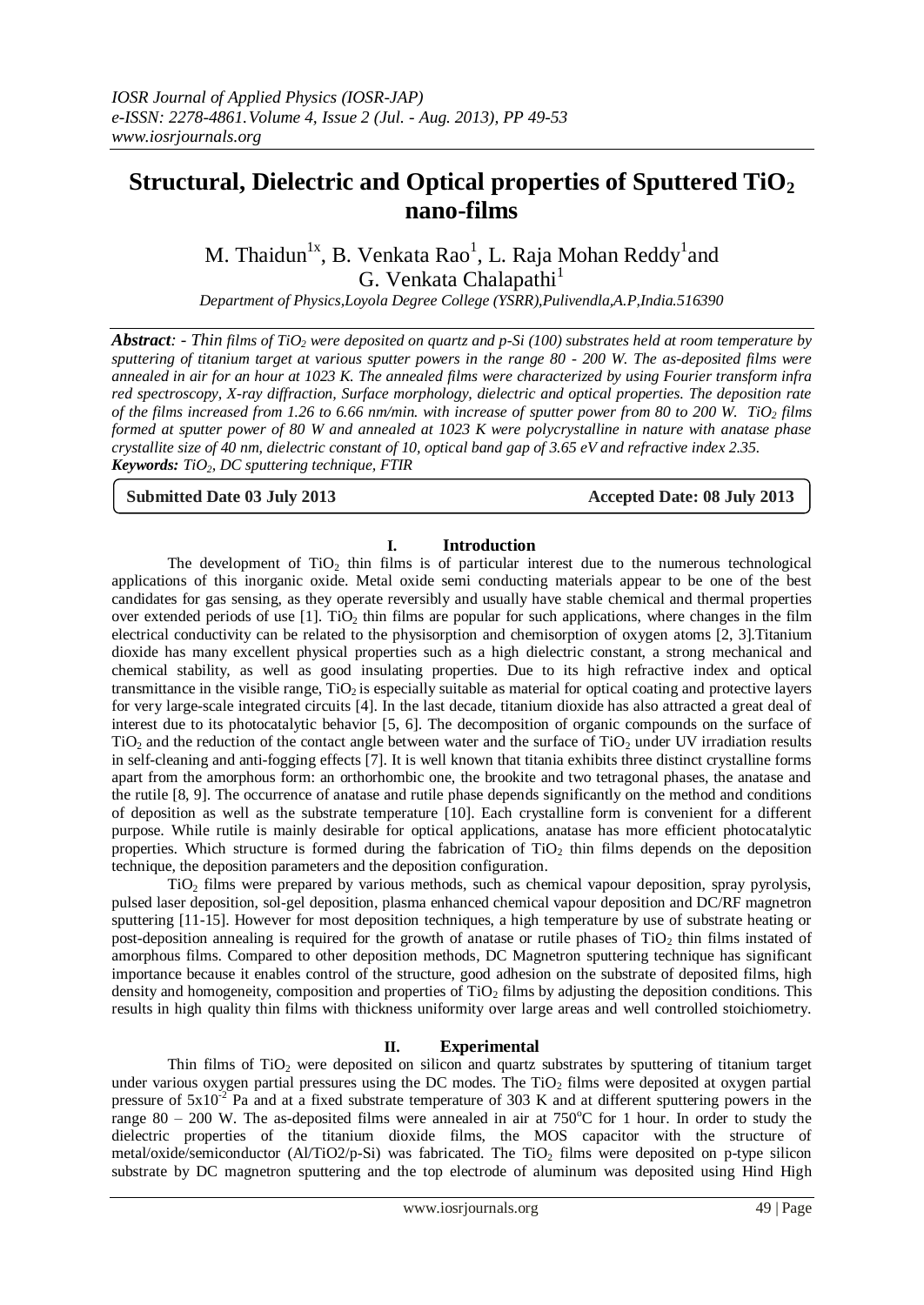# **Structural, Dielectric and Optical properties of Sputtered TiO<sup>2</sup> nano-films**

M. Thaidun $^{1x}$ , B. Venkata Rao $^{1}$ , L. Raja Mohan Reddy $^{1}$ and G. Venkata Chalapathi<sup>1</sup>

*Department of Physics,Loyola Degree College (YSRR),Pulivendla,A.P,India.516390*

*Abstract: - Thin films of TiO<sup>2</sup> were deposited on quartz and p-Si (100) substrates held at room temperature by sputtering of titanium target at various sputter powers in the range 80 - 200 W. The as-deposited films were annealed in air for an hour at 1023 K. The annealed films were characterized by using Fourier transform infra red spectroscopy, X-ray diffraction, Surface morphology, dielectric and optical properties. The deposition rate of the films increased from 1.26 to 6.66 nm/min. with increase of sputter power from 80 to 200 W. TiO<sup>2</sup> films formed at sputter power of 80 W and annealed at 1023 K were polycrystalline in nature with anatase phase crystallite size of 40 nm, dielectric constant of 10, optical band gap of 3.65 eV and refractive index 2.35. Keywords: TiO2, DC sputtering technique, FTIR*

**Submitted Date 03 July 2013 Accepted Date: 08 July 2013**

# **I. Introduction**

The development of  $TiO<sub>2</sub>$  thin films is of particular interest due to the numerous technological applications of this inorganic oxide. Metal oxide semi conducting materials appear to be one of the best candidates for gas sensing, as they operate reversibly and usually have stable chemical and thermal properties over extended periods of use  $[1]$ . TiO<sub>2</sub> thin films are popular for such applications, where changes in the film electrical conductivity can be related to the physisorption and chemisorption of oxygen atoms [2, 3].Titanium dioxide has many excellent physical properties such as a high dielectric constant, a strong mechanical and chemical stability, as well as good insulating properties. Due to its high refractive index and optical transmittance in the visible range,  $TiO<sub>2</sub>$  is especially suitable as material for optical coating and protective layers for very large-scale integrated circuits [4]. In the last decade, titanium dioxide has also attracted a great deal of interest due to its photocatalytic behavior [5, 6]. The decomposition of organic compounds on the surface of  $TiO<sub>2</sub>$  and the reduction of the contact angle between water and the surface of  $TiO<sub>2</sub>$  under UV irradiation results in self-cleaning and anti-fogging effects [7]. It is well known that titania exhibits three distinct crystalline forms apart from the amorphous form: an orthorhombic one, the brookite and two tetragonal phases, the anatase and the rutile [8, 9]. The occurrence of anatase and rutile phase depends significantly on the method and conditions of deposition as well as the substrate temperature [10]. Each crystalline form is convenient for a different purpose. While rutile is mainly desirable for optical applications, anatase has more efficient photocatalytic properties. Which structure is formed during the fabrication of  $TiO<sub>2</sub>$  thin films depends on the deposition technique, the deposition parameters and the deposition configuration.

TiO<sup>2</sup> films were prepared by various methods, such as chemical vapour deposition, spray pyrolysis, pulsed laser deposition, sol-gel deposition, plasma enhanced chemical vapour deposition and DC/RF magnetron sputtering [11-15]. However for most deposition techniques, a high temperature by use of substrate heating or post-deposition annealing is required for the growth of anatase or rutile phases of TiO<sub>2</sub> thin films instated of amorphous films. Compared to other deposition methods, DC Magnetron sputtering technique has significant importance because it enables control of the structure, good adhesion on the substrate of deposited films, high density and homogeneity, composition and properties of  $TiO<sub>2</sub>$  films by adjusting the deposition conditions. This results in high quality thin films with thickness uniformity over large areas and well controlled stoichiometry.

# **II. Experimental**

Thin films of  $TiO<sub>2</sub>$  were deposited on silicon and quartz substrates by sputtering of titanium target under various oxygen partial pressures using the DC modes. The  $TiO<sub>2</sub>$  films were deposited at oxygen partial pressure of  $5x10^{-2}$  Pa and at a fixed substrate temperature of 303 K and at different sputtering powers in the range 80 – 200 W. The as-deposited films were annealed in air at  $750^{\circ}$ C for 1 hour. In order to study the dielectric properties of the titanium dioxide films, the MOS capacitor with the structure of metal/oxide/semiconductor (Al/TiO2/p-Si) was fabricated. The TiO<sub>2</sub> films were deposited on p-type silicon substrate by DC magnetron sputtering and the top electrode of aluminum was deposited using Hind High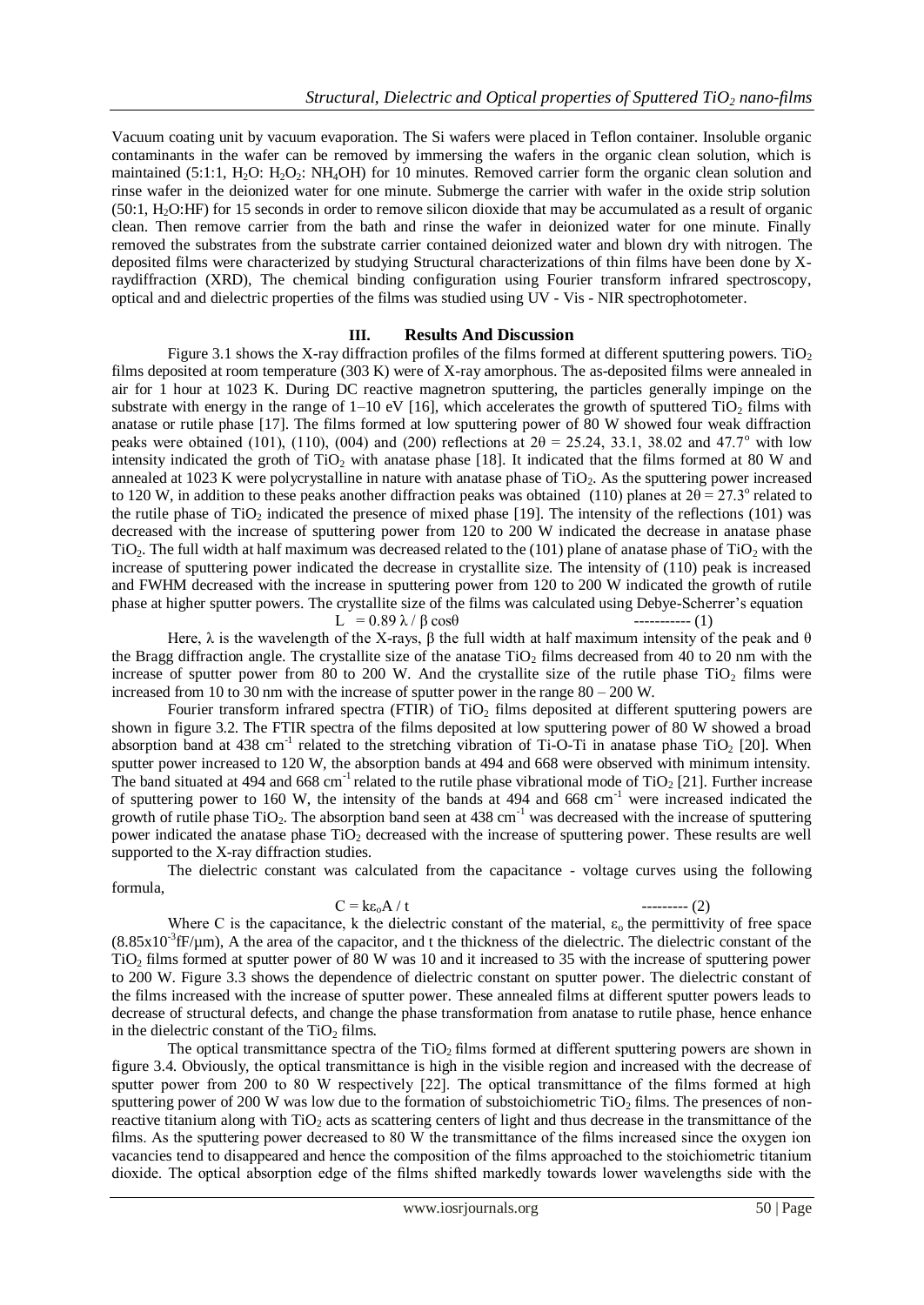Vacuum coating unit by vacuum evaporation. The Si wafers were placed in Teflon container. Insoluble organic contaminants in the wafer can be removed by immersing the wafers in the organic clean solution, which is maintained (5:1:1, H<sub>2</sub>O: H<sub>2</sub>O<sub>2</sub>: NH<sub>4</sub>OH) for 10 minutes. Removed carrier form the organic clean solution and rinse wafer in the deionized water for one minute. Submerge the carrier with wafer in the oxide strip solution (50:1, H2O:HF) for 15 seconds in order to remove silicon dioxide that may be accumulated as a result of organic clean. Then remove carrier from the bath and rinse the wafer in deionized water for one minute. Finally removed the substrates from the substrate carrier contained deionized water and blown dry with nitrogen. The deposited films were characterized by studying Structural characterizations of thin films have been done by Xraydiffraction (XRD), The chemical binding configuration using Fourier transform infrared spectroscopy, optical and and dielectric properties of the films was studied using UV - Vis - NIR spectrophotometer.

# **III. Results And Discussion**

Figure 3.1 shows the X-ray diffraction profiles of the films formed at different sputtering powers. TiO<sub>2</sub> films deposited at room temperature (303 K) were of X-ray amorphous. The as-deposited films were annealed in air for 1 hour at 1023 K. During DC reactive magnetron sputtering, the particles generally impinge on the substrate with energy in the range of  $1-10$  eV [16], which accelerates the growth of sputtered TiO<sub>2</sub> films with anatase or rutile phase [17]. The films formed at low sputtering power of 80 W showed four weak diffraction peaks were obtained (101), (110), (004) and (200) reflections at  $2\theta = 25.24$ , 33.1, 38.02 and 47.7° with low intensity indicated the groth of  $TiO<sub>2</sub>$  with anatase phase [18]. It indicated that the films formed at 80 W and annealed at  $1023$  K were polycrystalline in nature with anatase phase of  $TiO<sub>2</sub>$ . As the sputtering power increased to 120 W, in addition to these peaks another diffraction peaks was obtained (110) planes at  $2\theta = 27.3^\circ$  related to the rutile phase of  $TiO<sub>2</sub>$  indicated the presence of mixed phase [19]. The intensity of the reflections (101) was decreased with the increase of sputtering power from 120 to 200 W indicated the decrease in anatase phase TiO<sub>2</sub>. The full width at half maximum was decreased related to the (101) plane of anatase phase of TiO<sub>2</sub> with the increase of sputtering power indicated the decrease in crystallite size. The intensity of (110) peak is increased and FWHM decreased with the increase in sputtering power from 120 to 200 W indicated the growth of rutile phase at higher sputter powers. The crystallite size of the films was calculated using Debye-Scherrer's equation L =  $0.89 \lambda / \beta \cos \theta$  ----------- (1)

$$
= 0.89 \lambda / \beta \cos\theta
$$

Here, λ is the wavelength of the X-rays, β the full width at half maximum intensity of the peak and θ the Bragg diffraction angle. The crystallite size of the anatase TiO<sub>2</sub> films decreased from 40 to 20 nm with the increase of sputter power from 80 to 200 W. And the crystallite size of the rutile phase TiO<sub>2</sub> films were increased from 10 to 30 nm with the increase of sputter power in the range  $80 - 200$  W.

Fourier transform infrared spectra (FTIR) of  $TiO<sub>2</sub>$  films deposited at different sputtering powers are shown in figure 3.2. The FTIR spectra of the films deposited at low sputtering power of 80 W showed a broad absorption band at 438 cm<sup>-1</sup> related to the stretching vibration of Ti-O-Ti in anatase phase TiO<sub>2</sub> [20]. When sputter power increased to 120 W, the absorption bands at 494 and 668 were observed with minimum intensity. The band situated at 494 and 668 cm<sup>-1</sup> related to the rutile phase vibrational mode of TiO<sub>2</sub> [21]. Further increase of sputtering power to 160 W, the intensity of the bands at 494 and 668 cm<sup>-1</sup> were increased indicated the growth of rutile phase TiO<sub>2</sub>. The absorption band seen at 438 cm<sup>-1</sup> was decreased with the increase of sputtering power indicated the anatase phase  $TiO<sub>2</sub>$  decreased with the increase of sputtering power. These results are well supported to the X-ray diffraction studies.

The dielectric constant was calculated from the capacitance - voltage curves using the following formula,

C = kεoA / t --------- (2)

Where C is the capacitance, k the dielectric constant of the material,  $\varepsilon_0$  the permittivity of free space  $(8.85 \times 10^{-3}$  fF/ $\mu$ m), A the area of the capacitor, and t the thickness of the dielectric. The dielectric constant of the TiO<sup>2</sup> films formed at sputter power of 80 W was 10 and it increased to 35 with the increase of sputtering power to 200 W. Figure 3.3 shows the dependence of dielectric constant on sputter power. The dielectric constant of the films increased with the increase of sputter power. These annealed films at different sputter powers leads to decrease of structural defects, and change the phase transformation from anatase to rutile phase, hence enhance in the dielectric constant of the  $TiO<sub>2</sub>$  films.

The optical transmittance spectra of the TiO<sub>2</sub> films formed at different sputtering powers are shown in figure 3.4. Obviously, the optical transmittance is high in the visible region and increased with the decrease of sputter power from 200 to 80 W respectively [22]. The optical transmittance of the films formed at high sputtering power of 200 W was low due to the formation of substoichiometric  $TiO<sub>2</sub>$  films. The presences of nonreactive titanium along with TiO<sub>2</sub> acts as scattering centers of light and thus decrease in the transmittance of the films. As the sputtering power decreased to 80 W the transmittance of the films increased since the oxygen ion vacancies tend to disappeared and hence the composition of the films approached to the stoichiometric titanium dioxide. The optical absorption edge of the films shifted markedly towards lower wavelengths side with the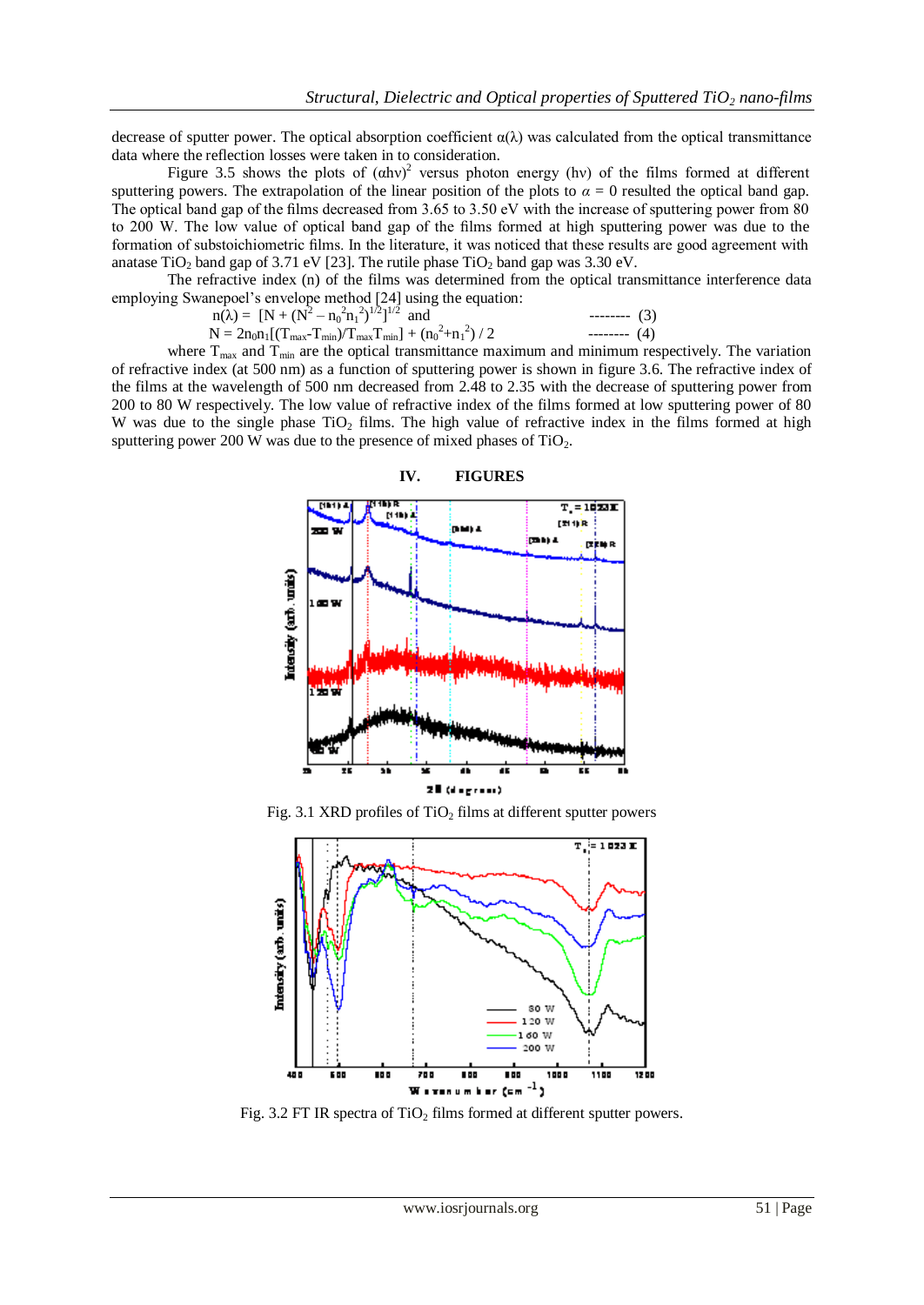decrease of sputter power. The optical absorption coefficient  $\alpha(\lambda)$  was calculated from the optical transmittance data where the reflection losses were taken in to consideration.

Figure 3.5 shows the plots of  $(ahv)^2$  versus photon energy (hv) of the films formed at different sputtering powers. The extrapolation of the linear position of the plots to  $\alpha = 0$  resulted the optical band gap. The optical band gap of the films decreased from 3.65 to 3.50 eV with the increase of sputtering power from 80 to 200 W. The low value of optical band gap of the films formed at high sputtering power was due to the formation of substoichiometric films. In the literature, it was noticed that these results are good agreement with anatase  $TiO<sub>2</sub>$  band gap of 3.71 eV [23]. The rutile phase  $TiO<sub>2</sub>$  band gap was 3.30 eV.

The refractive index (n) of the films was determined from the optical transmittance interference data employing Swanepoel's envelope method [24] using the equation:

$$
n(\lambda) = [N + (N^{2} - n_{0}^{2}n_{1}^{2})^{1/2}]^{1/2}
$$
 and  
N = 2n<sub>0</sub>n<sub>1</sub>[(T<sub>max</sub>-T<sub>min</sub>)/T<sub>max</sub>T<sub>min</sub>] + (n<sub>0</sub><sup>2</sup>+n<sub>1</sub><sup>2</sup>) / 2  
----- (4)

where  $T_{\text{max}}$  and  $T_{\text{min}}$  are the optical transmittance maximum and minimum respectively. The variation of refractive index (at 500 nm) as a function of sputtering power is shown in figure 3.6. The refractive index of the films at the wavelength of 500 nm decreased from 2.48 to 2.35 with the decrease of sputtering power from 200 to 80 W respectively. The low value of refractive index of the films formed at low sputtering power of 80 W was due to the single phase TiO<sub>2</sub> films. The high value of refractive index in the films formed at high sputtering power 200 W was due to the presence of mixed phases of  $TiO<sub>2</sub>$ .



Fig. 3.1 XRD profiles of  $TiO<sub>2</sub>$  films at different sputter powers



Fig. 3.2 FT IR spectra of  $TiO<sub>2</sub>$  films formed at different sputter powers.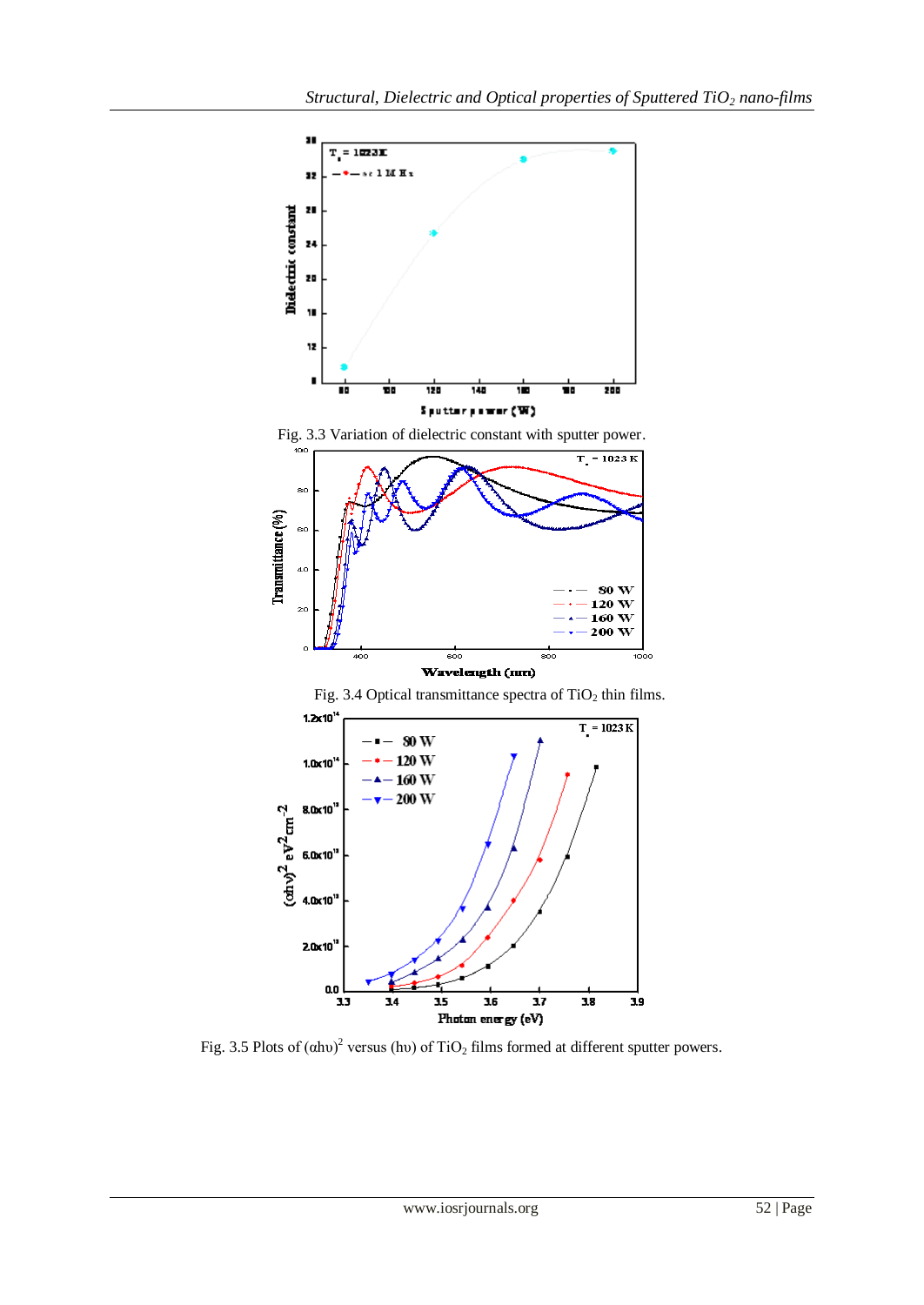

Fig. 3.5 Plots of  $(ahu)^2$  versus (hv) of TiO<sub>2</sub> films formed at different sputter powers.